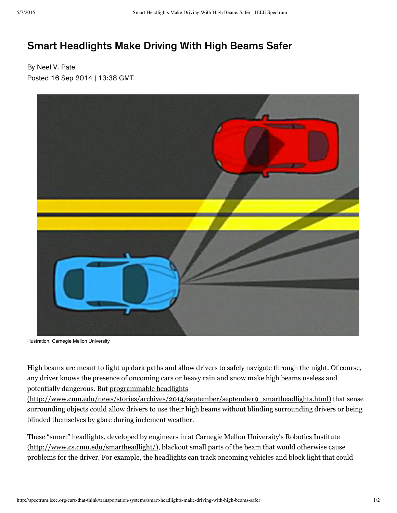## [Smart](http://twitter.com/#search?q=http%3A%2F%2Fspectrum.ieee.org%2Fcars-that-think%2Ftransportation%2Fsystems%2Fsmart-headlights-make-driving-with-high-beams-safer) [Headlights](https://twitter.com/intent/follow?original_referer=http%3A%2F%2Fspectrum.ieee.org%2Fcars-that-think%2Ftransportation%2Fsystems%2Fsmart-headlights-make-driving-with-high-beams-safer®ion=follow_link&screen_name=CarsThatThink&tw_p=followbutton) [Make](https://disqus.com/home/forums/ieeespectrum/) Driving With High Beams Safer

By Neel V. Patel Posted 16 Sep 2014 | 13:38 GMT



Illustration: Carnegie Mellon University

High beams are meant to light up dark paths and allow drivers to safely navigate through the night. Of course, any driver knows the presence of onco[min](http://spectrum.ieee.org/cars-that-think/transportation/systems/smart-headlights-make-driving-with-high-beams-safer#comment-1597440452)g cars or heavy rain and snow make high beams useless and potentially dangerous. But programmable headlights

[\(http://www.cmu.edu/news/stories/archives/2014/september/september9\\_smartheadlights.html\)](http://www.cmu.edu/news/stories/archives/2014/september/september9_smartheadlights.html) that sense surrounding objects [coul](https://disqus.com/by/donaldsbrantjr/)d allow drivers to use their high beams without blinding surrounding drivers or being blinded themselves by glare during inclement weather.

These "smart" headlights, developed by engineers in at Carnegie Mellon University's Robotics Institute [\(http://www.cs.cmu.edu/smartheadlight/\)](http://www.cs.cmu.edu/smartheadlight/), blackout small parts of the beam that would otherwise cause problems for the driver. For example, the headlights can track oncoming vehicles and block light that could